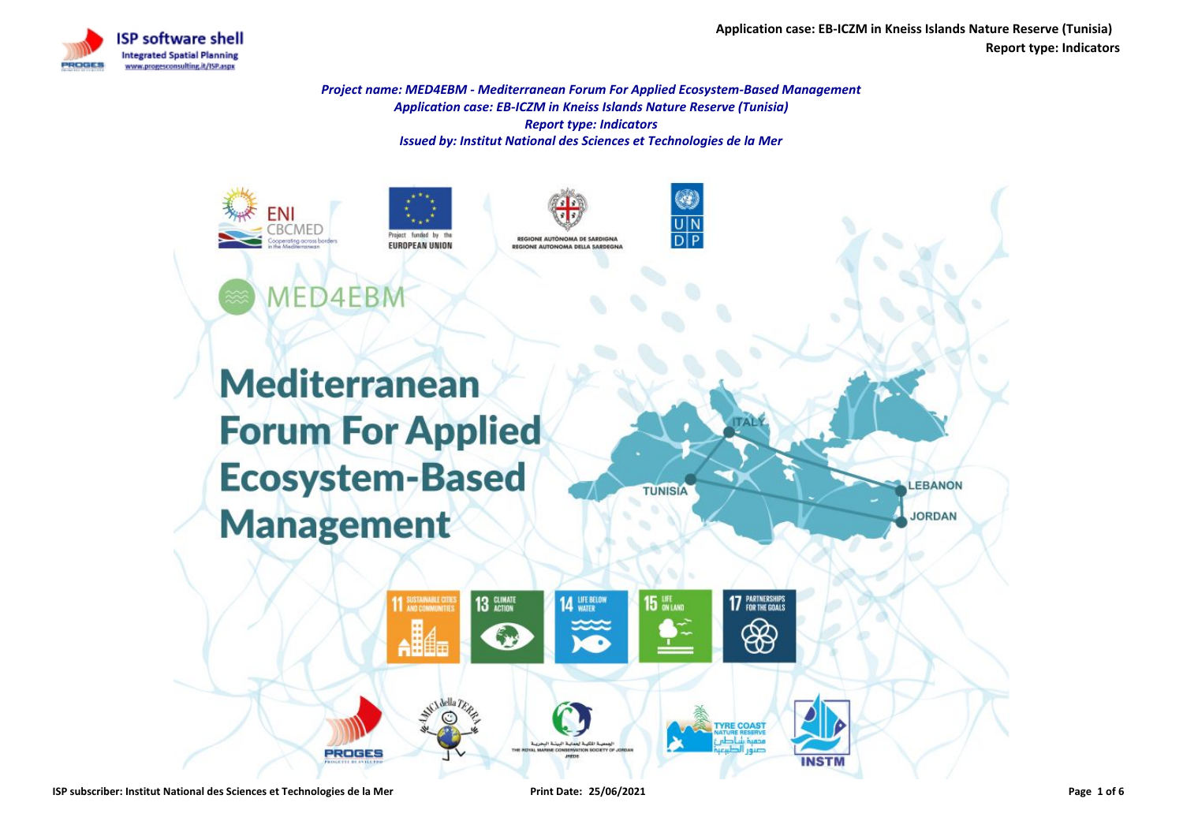**Application case: EB-ICZM in Kneiss Islands Nature Reserve (Tunisia) Report type: Indicators**

LEBANON

**JORDAN** 



*Project name: MED4EBM - Mediterranean Forum For Applied Ecosystem-Based Management Application case: EB-ICZM in Kneiss Islands Nature Reserve (Tunisia) Report type: Indicators Issued by: Institut National des Sciences et Technologies de la Mer*



MED4EBM

miart funded h **EUROPEAN UNION** 





 $\overline{U|N}$ 



**PROGES** 

11 SUSTAINABLE CIT



**YRE COAS** 

**INSTN**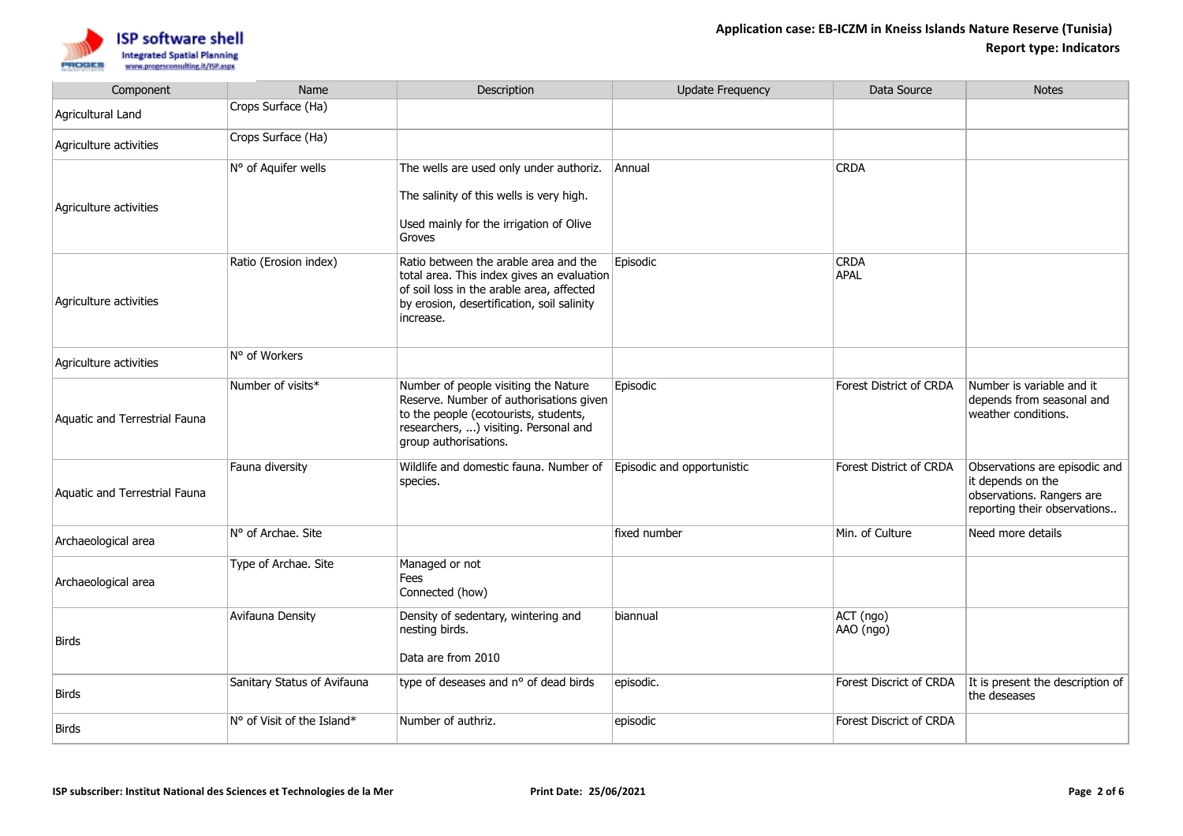

| Component                     | Name                        | Description                                                                                                                                                                                 | <b>Update Frequency</b>    | Data Source                    | <b>Notes</b>                                                                                                    |
|-------------------------------|-----------------------------|---------------------------------------------------------------------------------------------------------------------------------------------------------------------------------------------|----------------------------|--------------------------------|-----------------------------------------------------------------------------------------------------------------|
| Agricultural Land             | Crops Surface (Ha)          |                                                                                                                                                                                             |                            |                                |                                                                                                                 |
| Agriculture activities        | Crops Surface (Ha)          |                                                                                                                                                                                             |                            |                                |                                                                                                                 |
| Agriculture activities        | N° of Aquifer wells         | The wells are used only under authoriz.<br>The salinity of this wells is very high.<br>Used mainly for the irrigation of Olive<br>Groves                                                    | <b>Annual</b>              | <b>CRDA</b>                    |                                                                                                                 |
| Agriculture activities        | Ratio (Erosion index)       | Ratio between the arable area and the<br>total area. This index gives an evaluation<br>of soil loss in the arable area, affected<br>by erosion, desertification, soil salinity<br>increase. | Episodic                   | <b>CRDA</b><br><b>APAL</b>     |                                                                                                                 |
| Agriculture activities        | N° of Workers               |                                                                                                                                                                                             |                            |                                |                                                                                                                 |
| Aquatic and Terrestrial Fauna | Number of visits*           | Number of people visiting the Nature<br>Reserve. Number of authorisations given<br>to the people (ecotourists, students,<br>researchers, ) visiting. Personal and<br>group authorisations.  | Episodic                   | Forest District of CRDA        | Number is variable and it<br>depends from seasonal and<br>weather conditions.                                   |
| Aquatic and Terrestrial Fauna | Fauna diversity             | Wildlife and domestic fauna. Number of<br>species.                                                                                                                                          | Episodic and opportunistic | <b>Forest District of CRDA</b> | Observations are episodic and<br>it depends on the<br>observations. Rangers are<br>reporting their observations |
| Archaeological area           | N° of Archae. Site          |                                                                                                                                                                                             | fixed number               | Min. of Culture                | Need more details                                                                                               |
| Archaeological area           | Type of Archae. Site        | Managed or not<br>Fees<br>Connected (how)                                                                                                                                                   |                            |                                |                                                                                                                 |
| <b>Birds</b>                  | Avifauna Density            | Density of sedentary, wintering and<br>nesting birds.<br>Data are from 2010                                                                                                                 | biannual                   | ACT (ngo)<br>AAO (ngo)         |                                                                                                                 |
| <b>Birds</b>                  | Sanitary Status of Avifauna | type of deseases and n° of dead birds                                                                                                                                                       | episodic.                  | Forest Discrict of CRDA        | It is present the description of<br>the deseases                                                                |
| <b>Birds</b>                  | N° of Visit of the Island*  | Number of authriz.                                                                                                                                                                          | episodic                   | <b>Forest Discrict of CRDA</b> |                                                                                                                 |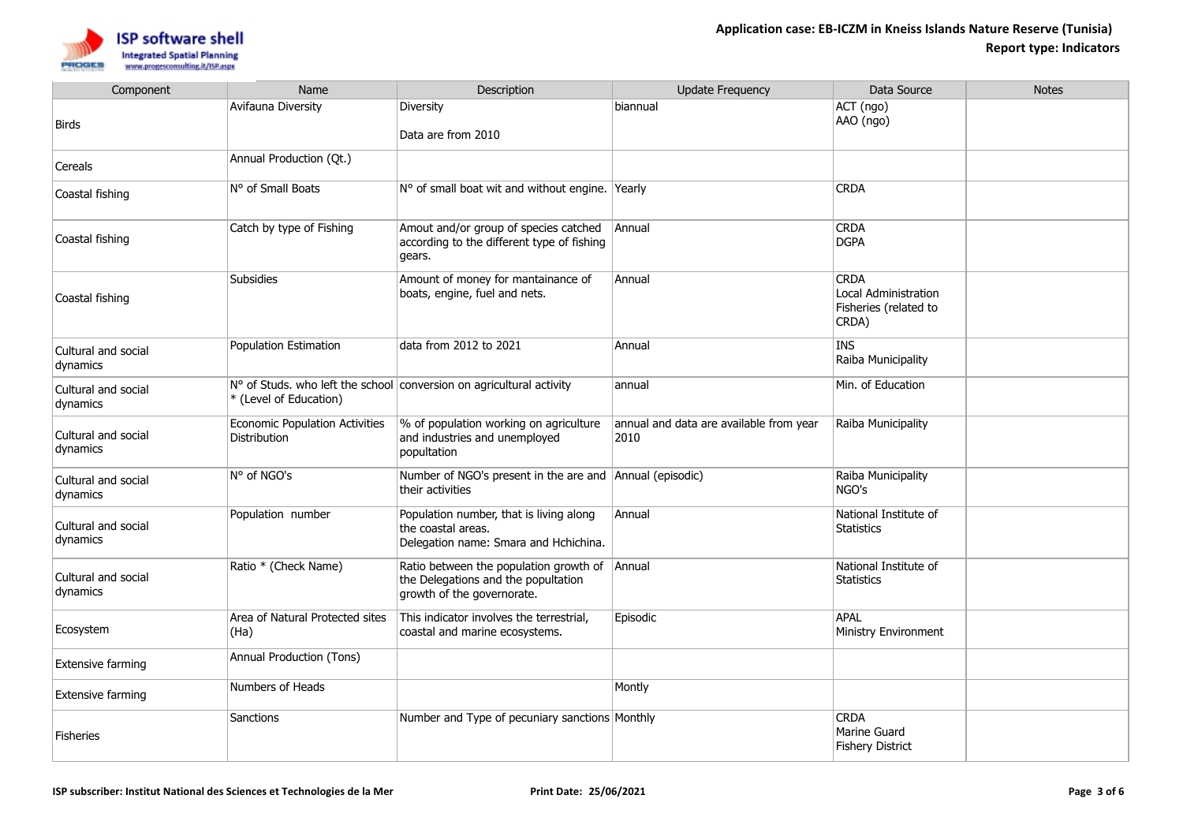

| Component                       | Name                                                  | Description                                                                                                        | <b>Update Frequency</b>                         | Data Source                                                           | <b>Notes</b> |
|---------------------------------|-------------------------------------------------------|--------------------------------------------------------------------------------------------------------------------|-------------------------------------------------|-----------------------------------------------------------------------|--------------|
| Birds                           | Avifauna Diversity                                    | <b>Diversity</b><br>Data are from 2010                                                                             | biannual                                        | ACT (ngo)<br>AAO (ngo)                                                |              |
| Cereals                         | Annual Production (Qt.)                               |                                                                                                                    |                                                 |                                                                       |              |
| Coastal fishing                 | N° of Small Boats                                     | N° of small boat wit and without engine. Yearly                                                                    |                                                 | <b>CRDA</b>                                                           |              |
| Coastal fishing                 | Catch by type of Fishing                              | Amout and/or group of species catched<br>according to the different type of fishing<br>gears.                      | Annual                                          | <b>CRDA</b><br><b>DGPA</b>                                            |              |
| Coastal fishing                 | Subsidies                                             | Amount of money for mantainance of<br>boats, engine, fuel and nets.                                                | Annual                                          | <b>CRDA</b><br>Local Administration<br>Fisheries (related to<br>CRDA) |              |
| Cultural and social<br>dynamics | Population Estimation                                 | data from 2012 to 2021                                                                                             | Annual                                          | INS<br>Raiba Municipality                                             |              |
| Cultural and social<br>dynamics | * (Level of Education)                                | $No$ of Studs. who left the school conversion on agricultural activity                                             | annual                                          | Min. of Education                                                     |              |
| Cultural and social<br>dynamics | Economic Population Activities<br><b>Distribution</b> | % of population working on agriculture<br>and industries and unemployed<br>popultation                             | annual and data are available from year<br>2010 | Raiba Municipality                                                    |              |
| Cultural and social<br>dynamics | N° of NGO's                                           | Number of NGO's present in the are and Annual (episodic)<br>their activities                                       |                                                 | Raiba Municipality<br>NGO's                                           |              |
| Cultural and social<br>dynamics | Population number                                     | Population number, that is living along<br>the coastal areas.<br>Delegation name: Smara and Hchichina.             | Annual                                          | National Institute of<br><b>Statistics</b>                            |              |
| Cultural and social<br>dynamics | Ratio * (Check Name)                                  | Ratio between the population growth of Annual<br>the Delegations and the popultation<br>growth of the governorate. |                                                 | National Institute of<br>Statistics                                   |              |
| Ecosystem                       | Area of Natural Protected sites<br>(Ha)               | This indicator involves the terrestrial,<br>coastal and marine ecosystems.                                         | Episodic                                        | <b>APAL</b><br>Ministry Environment                                   |              |
| <b>Extensive farming</b>        | Annual Production (Tons)                              |                                                                                                                    |                                                 |                                                                       |              |
| <b>Extensive farming</b>        | Numbers of Heads                                      |                                                                                                                    | Montly                                          |                                                                       |              |
| <b>Fisheries</b>                | Sanctions                                             | Number and Type of pecuniary sanctions Monthly                                                                     |                                                 | <b>CRDA</b><br>Marine Guard<br><b>Fishery District</b>                |              |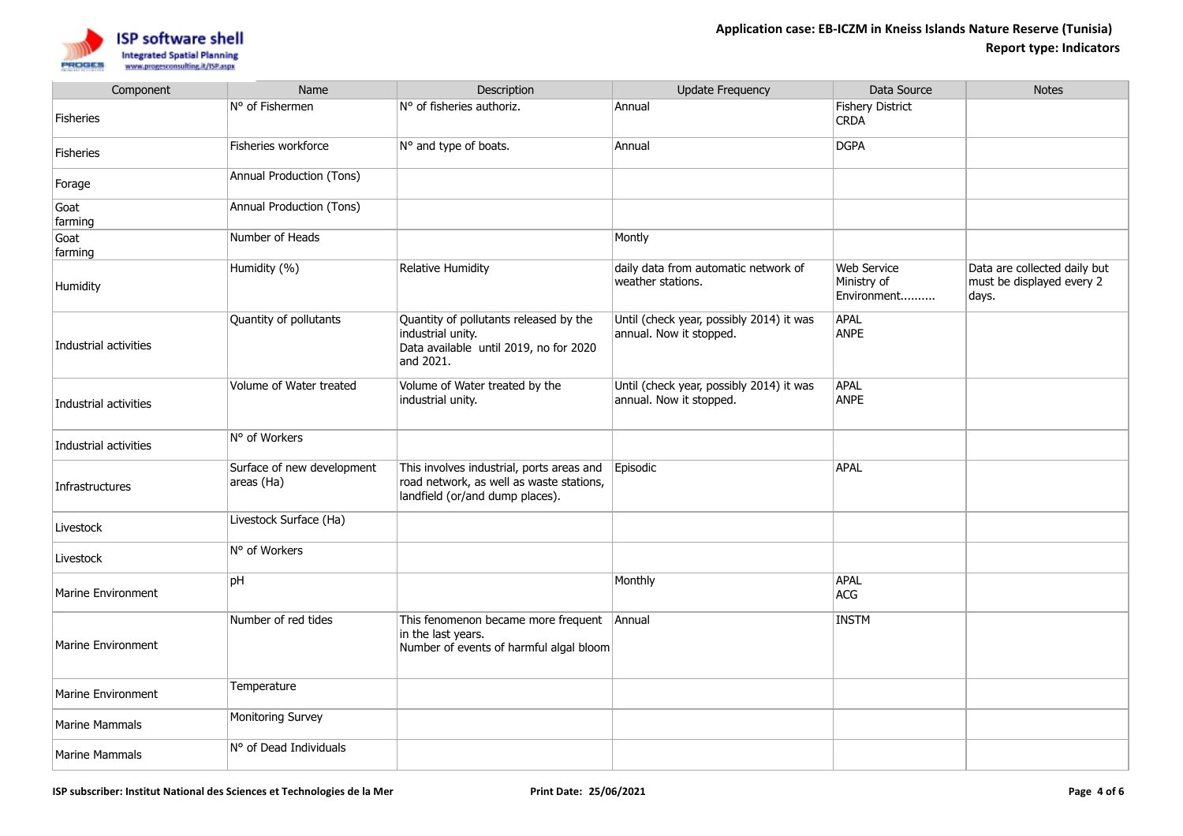

| Component             | Name                                     | Description                                                                                                              | <b>Update Frequency</b>                                             | Data Source                                      | <b>Notes</b>                                                       |
|-----------------------|------------------------------------------|--------------------------------------------------------------------------------------------------------------------------|---------------------------------------------------------------------|--------------------------------------------------|--------------------------------------------------------------------|
| <b>Fisheries</b>      | N° of Fishermen                          | N° of fisheries authoriz.                                                                                                | Annual                                                              | <b>Fishery District</b><br><b>CRDA</b>           |                                                                    |
| <b>Fisheries</b>      | Fisheries workforce                      | N° and type of boats.                                                                                                    | Annual                                                              | <b>DGPA</b>                                      |                                                                    |
| Forage                | Annual Production (Tons)                 |                                                                                                                          |                                                                     |                                                  |                                                                    |
| Goat<br>farming       | Annual Production (Tons)                 |                                                                                                                          |                                                                     |                                                  |                                                                    |
| Goat<br>farming       | Number of Heads                          |                                                                                                                          | Montly                                                              |                                                  |                                                                    |
| Humidity              | Humidity (%)                             | Relative Humidity                                                                                                        | daily data from automatic network of<br>weather stations.           | <b>Web Service</b><br>Ministry of<br>Environment | Data are collected daily but<br>must be displayed every 2<br>days. |
| Industrial activities | Quantity of pollutants                   | Quantity of pollutants released by the<br>industrial unity.<br>Data available until 2019, no for 2020<br>and 2021.       | Until (check year, possibly 2014) it was<br>annual. Now it stopped. | <b>APAL</b><br><b>ANPE</b>                       |                                                                    |
| Industrial activities | Volume of Water treated                  | Volume of Water treated by the<br>industrial unity.                                                                      | Until (check year, possibly 2014) it was<br>annual. Now it stopped. | <b>APAL</b><br><b>ANPE</b>                       |                                                                    |
| Industrial activities | N° of Workers                            |                                                                                                                          |                                                                     |                                                  |                                                                    |
| Infrastructures       | Surface of new development<br>areas (Ha) | This involves industrial, ports areas and<br>road network, as well as waste stations,<br>landfield (or/and dump places). | Episodic                                                            | <b>APAL</b>                                      |                                                                    |
| Livestock             | Livestock Surface (Ha)                   |                                                                                                                          |                                                                     |                                                  |                                                                    |
| Livestock             | N° of Workers                            |                                                                                                                          |                                                                     |                                                  |                                                                    |
| Marine Environment    | рH                                       |                                                                                                                          | Monthly                                                             | <b>APAL</b><br>ACG                               |                                                                    |
| Marine Environment    | Number of red tides                      | This fenomenon became more frequent Annual<br>in the last years.<br>Number of events of harmful algal bloom              |                                                                     | <b>INSTM</b>                                     |                                                                    |
| Marine Environment    | Temperature                              |                                                                                                                          |                                                                     |                                                  |                                                                    |
| <b>Marine Mammals</b> | Monitoring Survey                        |                                                                                                                          |                                                                     |                                                  |                                                                    |
| Marine Mammals        | N° of Dead Individuals                   |                                                                                                                          |                                                                     |                                                  |                                                                    |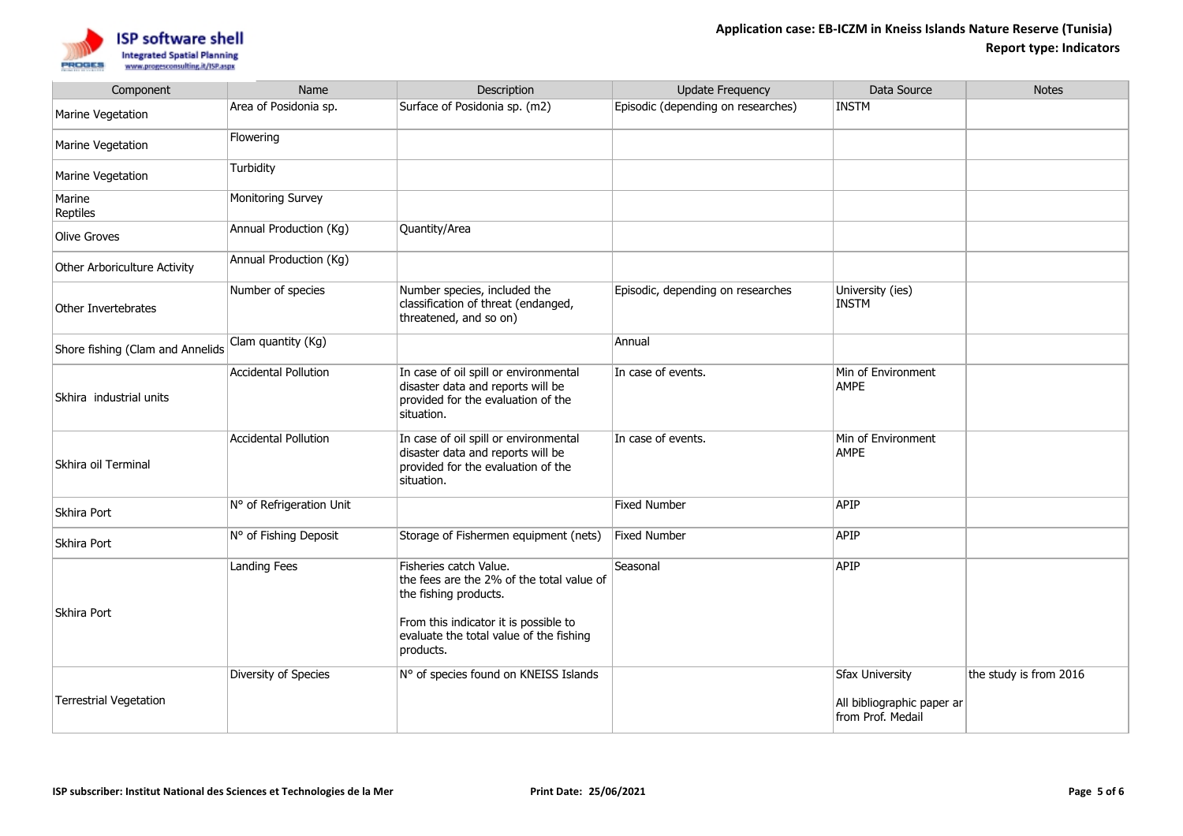

| Component                        | Name                        | Description                                                                                                                                                                                   | <b>Update Frequency</b>            | Data Source                                                        | <b>Notes</b>           |
|----------------------------------|-----------------------------|-----------------------------------------------------------------------------------------------------------------------------------------------------------------------------------------------|------------------------------------|--------------------------------------------------------------------|------------------------|
| Marine Vegetation                | Area of Posidonia sp.       | Surface of Posidonia sp. (m2)                                                                                                                                                                 | Episodic (depending on researches) | <b>INSTM</b>                                                       |                        |
| Marine Vegetation                | Flowering                   |                                                                                                                                                                                               |                                    |                                                                    |                        |
| Marine Vegetation                | Turbidity                   |                                                                                                                                                                                               |                                    |                                                                    |                        |
| Marine<br>Reptiles               | Monitoring Survey           |                                                                                                                                                                                               |                                    |                                                                    |                        |
| <b>Olive Groves</b>              | Annual Production (Kg)      | Quantity/Area                                                                                                                                                                                 |                                    |                                                                    |                        |
| Other Arboriculture Activity     | Annual Production (Kg)      |                                                                                                                                                                                               |                                    |                                                                    |                        |
| Other Invertebrates              | Number of species           | Number species, included the<br>classification of threat (endanged,<br>threatened, and so on)                                                                                                 | Episodic, depending on researches  | University (ies)<br><b>INSTM</b>                                   |                        |
| Shore fishing (Clam and Annelids | Clam quantity (Kg)          |                                                                                                                                                                                               | Annual                             |                                                                    |                        |
| Skhira industrial units          | Accidental Pollution        | In case of oil spill or environmental<br>disaster data and reports will be<br>provided for the evaluation of the<br>situation.                                                                | In case of events.                 | Min of Environment<br><b>AMPE</b>                                  |                        |
| Skhira oil Terminal              | <b>Accidental Pollution</b> | In case of oil spill or environmental<br>disaster data and reports will be<br>provided for the evaluation of the<br>situation.                                                                | In case of events.                 | Min of Environment<br><b>AMPE</b>                                  |                        |
| Skhira Port                      | N° of Refrigeration Unit    |                                                                                                                                                                                               | <b>Fixed Number</b>                | <b>APIP</b>                                                        |                        |
| Skhira Port                      | N° of Fishing Deposit       | Storage of Fishermen equipment (nets)                                                                                                                                                         | <b>Fixed Number</b>                | APIP                                                               |                        |
| Skhira Port                      | <b>Landing Fees</b>         | Fisheries catch Value.<br>the fees are the 2% of the total value of<br>the fishing products.<br>From this indicator it is possible to<br>evaluate the total value of the fishing<br>products. | Seasonal                           | APIP                                                               |                        |
| <b>Terrestrial Vegetation</b>    | Diversity of Species        | N° of species found on KNEISS Islands                                                                                                                                                         |                                    | Sfax University<br>All bibliographic paper ar<br>from Prof. Medail | the study is from 2016 |